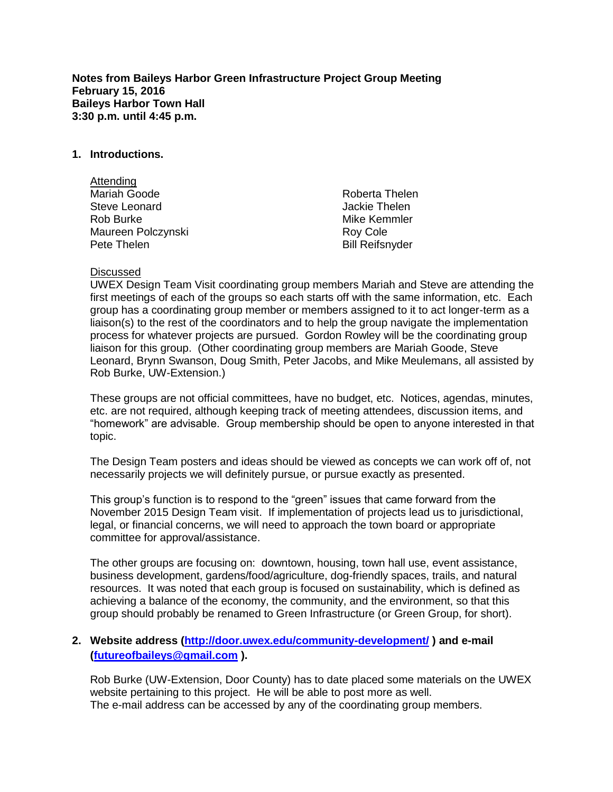**Notes from Baileys Harbor Green Infrastructure Project Group Meeting February 15, 2016 Baileys Harbor Town Hall 3:30 p.m. until 4:45 p.m.**

### **1. Introductions.**

| Attending            |                        |
|----------------------|------------------------|
| Mariah Goode         | Roberta Thelen         |
| <b>Steve Leonard</b> | Jackie Thelen          |
| Rob Burke            | Mike Kemmler           |
| Maureen Polczynski   | Roy Cole               |
| Pete Thelen          | <b>Bill Reifsnyder</b> |

#### Discussed

UWEX Design Team Visit coordinating group members Mariah and Steve are attending the first meetings of each of the groups so each starts off with the same information, etc. Each group has a coordinating group member or members assigned to it to act longer-term as a liaison(s) to the rest of the coordinators and to help the group navigate the implementation process for whatever projects are pursued. Gordon Rowley will be the coordinating group liaison for this group. (Other coordinating group members are Mariah Goode, Steve Leonard, Brynn Swanson, Doug Smith, Peter Jacobs, and Mike Meulemans, all assisted by Rob Burke, UW-Extension.)

These groups are not official committees, have no budget, etc. Notices, agendas, minutes, etc. are not required, although keeping track of meeting attendees, discussion items, and "homework" are advisable. Group membership should be open to anyone interested in that topic.

The Design Team posters and ideas should be viewed as concepts we can work off of, not necessarily projects we will definitely pursue, or pursue exactly as presented.

This group's function is to respond to the "green" issues that came forward from the November 2015 Design Team visit. If implementation of projects lead us to jurisdictional, legal, or financial concerns, we will need to approach the town board or appropriate committee for approval/assistance.

The other groups are focusing on: downtown, housing, town hall use, event assistance, business development, gardens/food/agriculture, dog-friendly spaces, trails, and natural resources. It was noted that each group is focused on sustainability, which is defined as achieving a balance of the economy, the community, and the environment, so that this group should probably be renamed to Green Infrastructure (or Green Group, for short).

# **2. Website address [\(http://door.uwex.edu/community-development/](http://door.uwex.edu/community-development/) ) and e-mail [\(futureofbaileys@gmail.com](mailto:futureofbaileys@gmail.com) ).**

Rob Burke (UW-Extension, Door County) has to date placed some materials on the UWEX website pertaining to this project. He will be able to post more as well. The e-mail address can be accessed by any of the coordinating group members.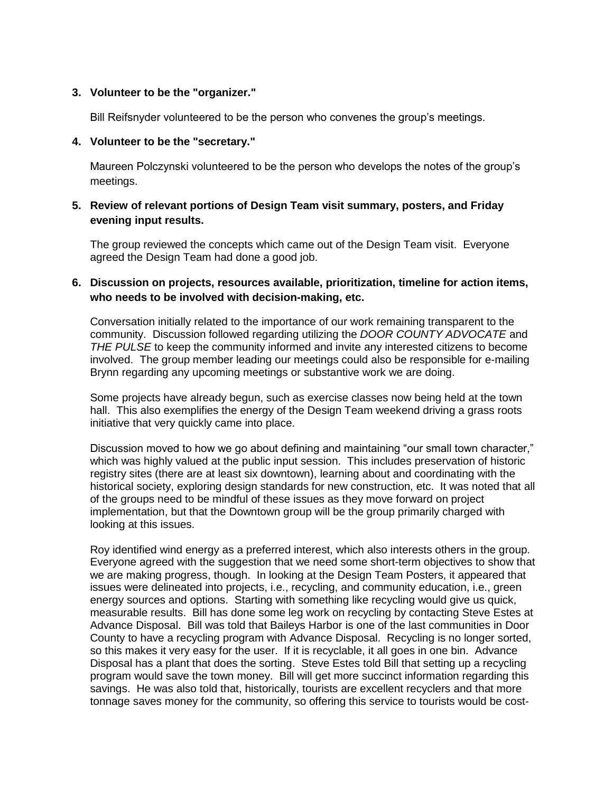## **3. Volunteer to be the "organizer."**

Bill Reifsnyder volunteered to be the person who convenes the group's meetings.

#### **4. Volunteer to be the "secretary."**

Maureen Polczynski volunteered to be the person who develops the notes of the group's meetings.

# **5. Review of relevant portions of Design Team visit summary, posters, and Friday evening input results.**

The group reviewed the concepts which came out of the Design Team visit. Everyone agreed the Design Team had done a good job.

# **6. Discussion on projects, resources available, prioritization, timeline for action items, who needs to be involved with decision-making, etc.**

Conversation initially related to the importance of our work remaining transparent to the community. Discussion followed regarding utilizing the *DOOR COUNTY ADVOCATE* and *THE PULSE* to keep the community informed and invite any interested citizens to become involved. The group member leading our meetings could also be responsible for e-mailing Brynn regarding any upcoming meetings or substantive work we are doing.

Some projects have already begun, such as exercise classes now being held at the town hall. This also exemplifies the energy of the Design Team weekend driving a grass roots initiative that very quickly came into place.

Discussion moved to how we go about defining and maintaining "our small town character," which was highly valued at the public input session. This includes preservation of historic registry sites (there are at least six downtown), learning about and coordinating with the historical society, exploring design standards for new construction, etc. It was noted that all of the groups need to be mindful of these issues as they move forward on project implementation, but that the Downtown group will be the group primarily charged with looking at this issues.

Roy identified wind energy as a preferred interest, which also interests others in the group. Everyone agreed with the suggestion that we need some short-term objectives to show that we are making progress, though. In looking at the Design Team Posters, it appeared that issues were delineated into projects, i.e., recycling, and community education, i.e., green energy sources and options. Starting with something like recycling would give us quick, measurable results. Bill has done some leg work on recycling by contacting Steve Estes at Advance Disposal. Bill was told that Baileys Harbor is one of the last communities in Door County to have a recycling program with Advance Disposal. Recycling is no longer sorted, so this makes it very easy for the user. If it is recyclable, it all goes in one bin. Advance Disposal has a plant that does the sorting. Steve Estes told Bill that setting up a recycling program would save the town money. Bill will get more succinct information regarding this savings. He was also told that, historically, tourists are excellent recyclers and that more tonnage saves money for the community, so offering this service to tourists would be cost